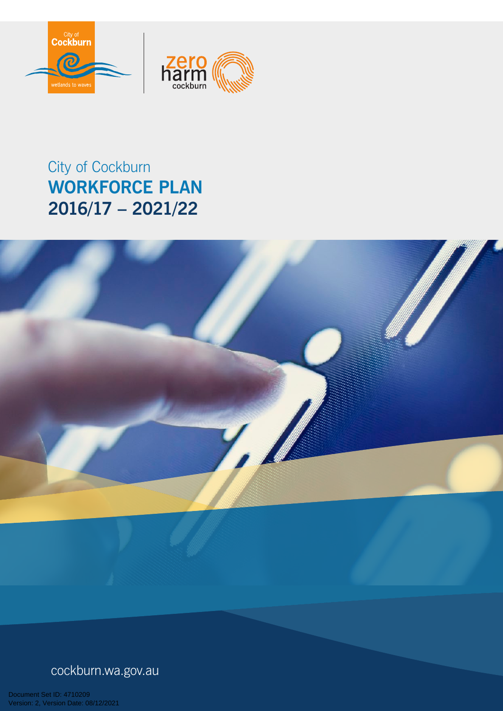



# City of Cockburn **WORKFORCE PLAN 2016/17 – 2021/22**





Document Set ID: 4710209<br>Version: 2, Version Date: 08/12/2021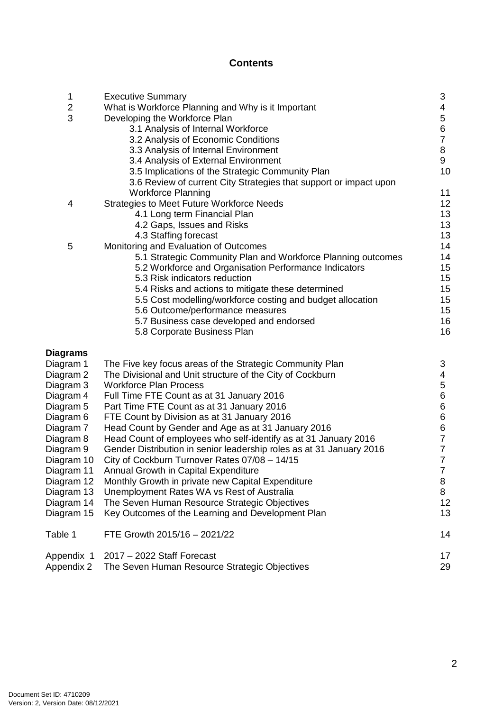#### **Contents**

| 1                       | <b>Executive Summary</b>                                             | 3              |
|-------------------------|----------------------------------------------------------------------|----------------|
| $\overline{\mathbf{c}}$ | What is Workforce Planning and Why is it Important                   | 4              |
| 3                       | Developing the Workforce Plan                                        | 5              |
|                         | 3.1 Analysis of Internal Workforce                                   | 6              |
|                         | 3.2 Analysis of Economic Conditions                                  | $\overline{7}$ |
|                         | 3.3 Analysis of Internal Environment                                 | 8              |
|                         | 3.4 Analysis of External Environment                                 | 9              |
|                         | 3.5 Implications of the Strategic Community Plan                     | 10             |
|                         | 3.6 Review of current City Strategies that support or impact upon    |                |
|                         | <b>Workforce Planning</b>                                            | 11             |
| 4                       | <b>Strategies to Meet Future Workforce Needs</b>                     | 12             |
|                         | 4.1 Long term Financial Plan                                         | 13             |
|                         | 4.2 Gaps, Issues and Risks                                           | 13             |
|                         | 4.3 Staffing forecast                                                | 13             |
| 5                       | Monitoring and Evaluation of Outcomes                                | 14             |
|                         | 5.1 Strategic Community Plan and Workforce Planning outcomes         | 14             |
|                         | 5.2 Workforce and Organisation Performance Indicators                | 15             |
|                         | 5.3 Risk indicators reduction                                        | 15             |
|                         | 5.4 Risks and actions to mitigate these determined                   | 15             |
|                         | 5.5 Cost modelling/workforce costing and budget allocation           | 15             |
|                         | 5.6 Outcome/performance measures                                     | 15             |
|                         | 5.7 Business case developed and endorsed                             | 16             |
|                         | 5.8 Corporate Business Plan                                          | 16             |
| <b>Diagrams</b>         |                                                                      |                |
| Diagram 1               | The Five key focus areas of the Strategic Community Plan             | 3              |
| Diagram 2               | The Divisional and Unit structure of the City of Cockburn            | 4              |
| Diagram 3               | <b>Workforce Plan Process</b>                                        | 5              |
| Diagram 4               | Full Time FTE Count as at 31 January 2016                            | 6              |
| Diagram 5               | Part Time FTE Count as at 31 January 2016                            | 6              |
| Diagram 6               | FTE Count by Division as at 31 January 2016                          | 6              |
| Diagram 7               | Head Count by Gender and Age as at 31 January 2016                   | 6              |
| Diagram 8               | Head Count of employees who self-identify as at 31 January 2016      | 7              |
| Diagram 9               | Gender Distribution in senior leadership roles as at 31 January 2016 | 7              |
| Diagram 10              | City of Cockburn Turnover Rates 07/08 - 14/15                        | 7              |
| Diagram 11              | Annual Growth in Capital Expenditure                                 | $\overline{7}$ |
| Diagram 12              | Monthly Growth in private new Capital Expenditure                    | 8              |
| Diagram 13              | Unemployment Rates WA vs Rest of Australia                           | 8              |
| Diagram 14              | The Seven Human Resource Strategic Objectives                        | 12             |
| Diagram 15              | Key Outcomes of the Learning and Development Plan                    | 13             |
| Table 1                 | FTE Growth 2015/16 - 2021/22                                         | 14             |
| Appendix 1              | 2017 - 2022 Staff Forecast                                           | 17             |
| Appendix 2              | The Seven Human Resource Strategic Objectives                        | 29             |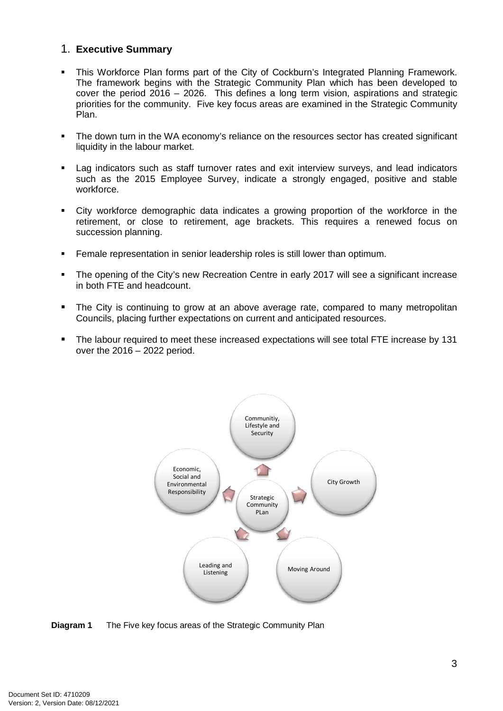#### 1. **Executive Summary**

- This Workforce Plan forms part of the City of Cockburn's Integrated Planning Framework. The framework begins with the Strategic Community Plan which has been developed to cover the period 2016 – 2026. This defines a long term vision, aspirations and strategic priorities for the community. Five key focus areas are examined in the Strategic Community Plan.
- The down turn in the WA economy's reliance on the resources sector has created significant liquidity in the labour market.
- Lag indicators such as staff turnover rates and exit interview surveys, and lead indicators such as the 2015 Employee Survey, indicate a strongly engaged, positive and stable workforce.
- City workforce demographic data indicates a growing proportion of the workforce in the retirement, or close to retirement, age brackets. This requires a renewed focus on succession planning.
- Female representation in senior leadership roles is still lower than optimum.
- The opening of the City's new Recreation Centre in early 2017 will see a significant increase in both FTE and headcount.
- The City is continuing to grow at an above average rate, compared to many metropolitan Councils, placing further expectations on current and anticipated resources.
- The labour required to meet these increased expectations will see total FTE increase by 131 over the 2016 – 2022 period.



**Diagram 1** The Five key focus areas of the Strategic Community Plan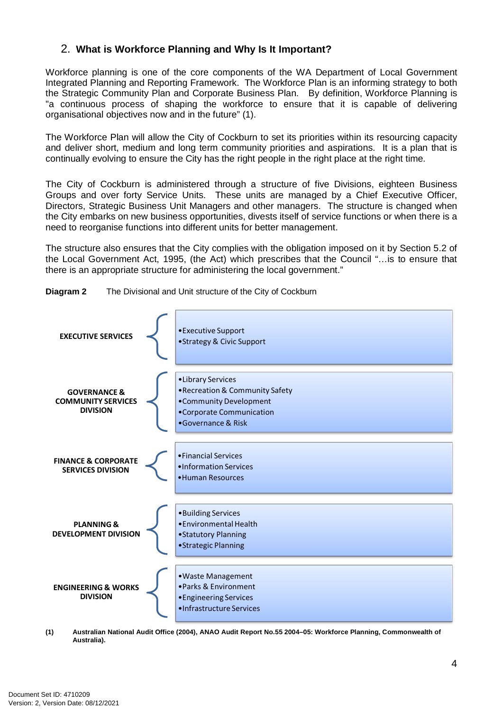#### 2. **What is Workforce Planning and Why Is It Important?**

Workforce planning is one of the core components of the WA Department of Local Government Integrated Planning and Reporting Framework. The Workforce Plan is an informing strategy to both the Strategic Community Plan and Corporate Business Plan. By definition, Workforce Planning is "a continuous process of shaping the workforce to ensure that it is capable of delivering organisational objectives now and in the future" (1).

The Workforce Plan will allow the City of Cockburn to set its priorities within its resourcing capacity and deliver short, medium and long term community priorities and aspirations. It is a plan that is continually evolving to ensure the City has the right people in the right place at the right time.

The City of Cockburn is administered through a structure of five Divisions, eighteen Business Groups and over forty Service Units. These units are managed by a Chief Executive Officer, Directors, Strategic Business Unit Managers and other managers. The structure is changed when the City embarks on new business opportunities, divests itself of service functions or when there is a need to reorganise functions into different units for better management.

The structure also ensures that the City complies with the obligation imposed on it by Section 5.2 of the Local Government Act, 1995, (the Act) which prescribes that the Council "…is to ensure that there is an appropriate structure for administering the local government."



**Diagram 2** The Divisional and Unit structure of the City of Cockburn

**(1) Australian National Audit Office (2004), ANAO Audit Report No.55 2004–05: Workforce Planning, Commonwealth of Australia).**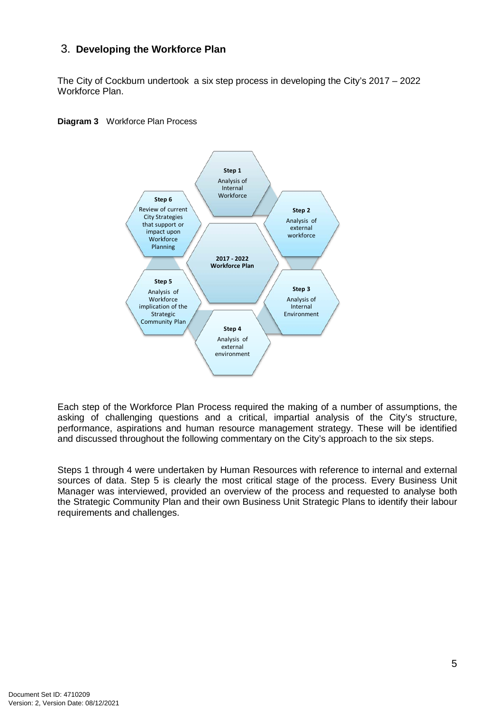#### 3. **Developing the Workforce Plan**

The City of Cockburn undertook a six step process in developing the City's 2017 – 2022 Workforce Plan.





Each step of the Workforce Plan Process required the making of a number of assumptions, the asking of challenging questions and a critical, impartial analysis of the City's structure, performance, aspirations and human resource management strategy. These will be identified and discussed throughout the following commentary on the City's approach to the six steps.

Steps 1 through 4 were undertaken by Human Resources with reference to internal and external sources of data. Step 5 is clearly the most critical stage of the process. Every Business Unit Manager was interviewed, provided an overview of the process and requested to analyse both the Strategic Community Plan and their own Business Unit Strategic Plans to identify their labour requirements and challenges.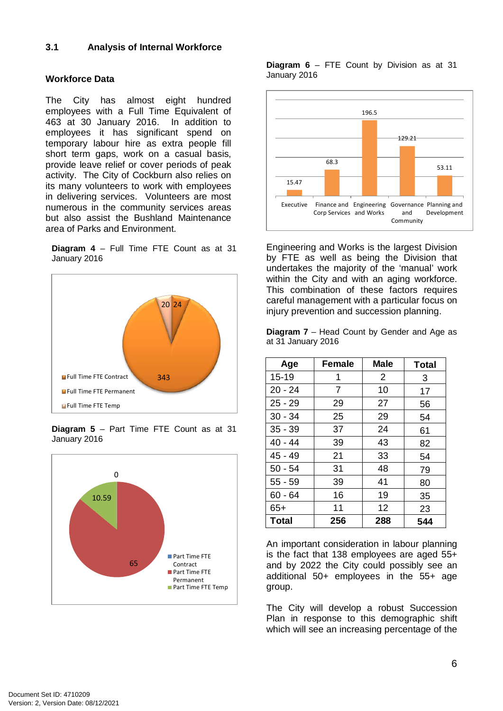#### **3.1 Analysis of Internal Workforce**

#### **Workforce Data**

The City has almost eight hundred employees with a Full Time Equivalent of 463 at 30 January 2016. In addition to employees it has significant spend on temporary labour hire as extra people fill short term gaps, work on a casual basis, provide leave relief or cover periods of peak activity. The City of Cockburn also relies on its many volunteers to work with employees in delivering services. Volunteers are most numerous in the community services areas but also assist the Bushland Maintenance area of Parks and Environment.

**Diagram 4** – Full Time FTE Count as at 31 January 2016



**Diagram 5** – Part Time FTE Count as at 31 January 2016



**Diagram 6** – FTE Count by Division as at 31 January 2016



Engineering and Works is the largest Division by FTE as well as being the Division that undertakes the majority of the 'manual' work within the City and with an aging workforce. This combination of these factors requires careful management with a particular focus on injury prevention and succession planning.

**Diagram 7** – Head Count by Gender and Age as at 31 January 2016

| Age          | <b>Female</b> | <b>Male</b> | Total |
|--------------|---------------|-------------|-------|
| $15 - 19$    | 1             | 2           | 3     |
| $20 - 24$    | 7             | 10          | 17    |
| $25 - 29$    | 29            | 27          | 56    |
| $30 - 34$    | 25            | 29          | 54    |
| $35 - 39$    | 37            | 24          | 61    |
| $40 - 44$    | 39            | 43          | 82    |
| $45 - 49$    | 21            | 33          | 54    |
| $50 - 54$    | 31            | 48          | 79    |
| $55 - 59$    | 39            | 41          | 80    |
| $60 - 64$    | 16            | 19          | 35    |
| $65+$        | 11            | 12          | 23    |
| <b>Total</b> | 256           | 288         | 544   |

An important consideration in labour planning is the fact that 138 employees are aged 55+ and by 2022 the City could possibly see an additional 50+ employees in the 55+ age group.

The City will develop a robust Succession Plan in response to this demographic shift which will see an increasing percentage of the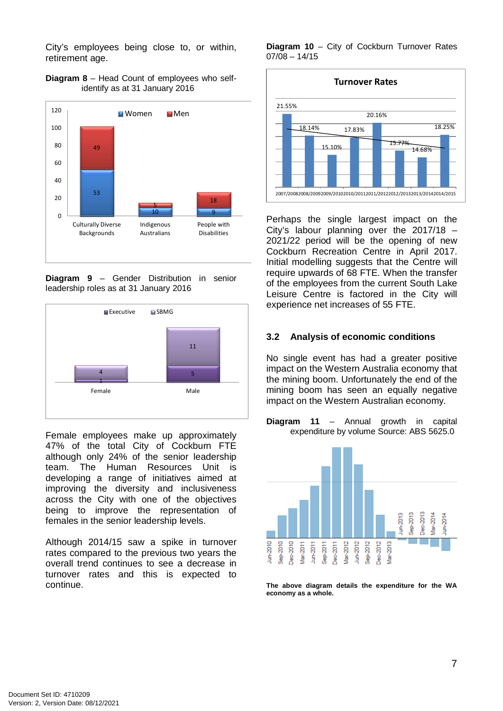City's employees being close to, or within, retirement age.

**Diagram 8** – Head Count of employees who selfidentify as at 31 January 2016



**Diagram 9** – Gender Distribution in senior leadership roles as at 31 January 2016



Female employees make up approximately 47% of the total City of Cockburn FTE although only 24% of the senior leadership team. The Human Resources Unit is developing a range of initiatives aimed at improving the diversity and inclusiveness across the City with one of the objectives being to improve the representation of females in the senior leadership levels.

Although 2014/15 saw a spike in turnover rates compared to the previous two years the overall trend continues to see a decrease in turnover rates and this is expected to continue.

**Diagram 10** – City of Cockburn Turnover Rates  $07/08 - 14/15$ 



Perhaps the single largest impact on the City's labour planning over the 2017/18 – 2021/22 period will be the opening of new Cockburn Recreation Centre in April 2017. Initial modelling suggests that the Centre will require upwards of 68 FTE. When the transfer of the employees from the current South Lake Leisure Centre is factored in the City will experience net increases of 55 FTE.

#### **3.2 Analysis of economic conditions**

No single event has had a greater positive impact on the Western Australia economy that the mining boom. Unfortunately the end of the mining boom has seen an equally negative impact on the Western Australian economy.





**The above diagram details the expenditure for the WA economy as a whole.**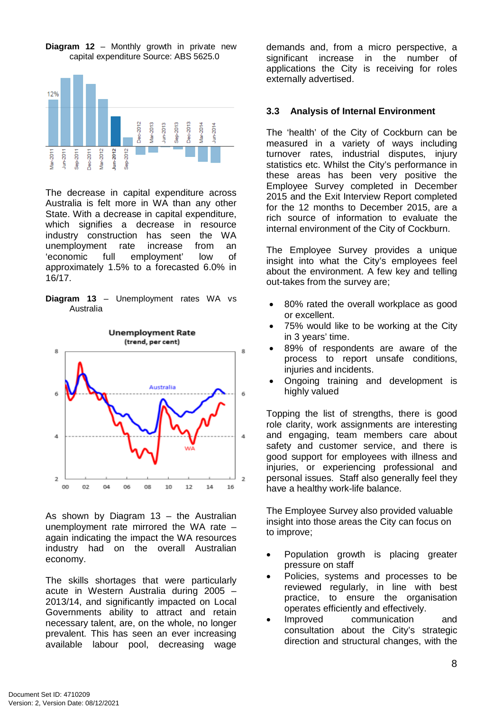



The decrease in capital expenditure across Australia is felt more in WA than any other State. With a decrease in capital expenditure, which signifies a decrease in resource industry construction has seen the WA unemployment rate increase from an 'economic full employment' low of approximately 1.5% to a forecasted 6.0% in 16/17.

**Diagram 13** – Unemployment rates WA vs Australia



As shown by Diagram 13 – the Australian unemployment rate mirrored the WA rate – again indicating the impact the WA resources industry had on the overall Australian economy.

The skills shortages that were particularly acute in Western Australia during 2005 – 2013/14, and significantly impacted on Local Governments ability to attract and retain necessary talent, are, on the whole, no longer prevalent. This has seen an ever increasing available labour pool, decreasing wage demands and, from a micro perspective, a significant increase in the number of applications the City is receiving for roles externally advertised.

#### **3.3 Analysis of Internal Environment**

The 'health' of the City of Cockburn can be measured in a variety of ways including turnover rates, industrial disputes, injury statistics etc. Whilst the City's performance in these areas has been very positive the Employee Survey completed in December 2015 and the Exit Interview Report completed for the 12 months to December 2015, are a rich source of information to evaluate the internal environment of the City of Cockburn.

The Employee Survey provides a unique insight into what the City's employees feel about the environment. A few key and telling out-takes from the survey are;

- 80% rated the overall workplace as good or excellent.
- 75% would like to be working at the City in 3 years' time.
- 89% of respondents are aware of the process to report unsafe conditions, injuries and incidents.
- Ongoing training and development is highly valued

Topping the list of strengths, there is good role clarity, work assignments are interesting and engaging, team members care about safety and customer service, and there is good support for employees with illness and injuries, or experiencing professional and personal issues. Staff also generally feel they have a healthy work-life balance.

The Employee Survey also provided valuable insight into those areas the City can focus on to improve;

- Population growth is placing greater pressure on staff
- Policies, systems and processes to be reviewed regularly, in line with best practice, to ensure the organisation operates efficiently and effectively.
- Improved communication and consultation about the City's strategic direction and structural changes, with the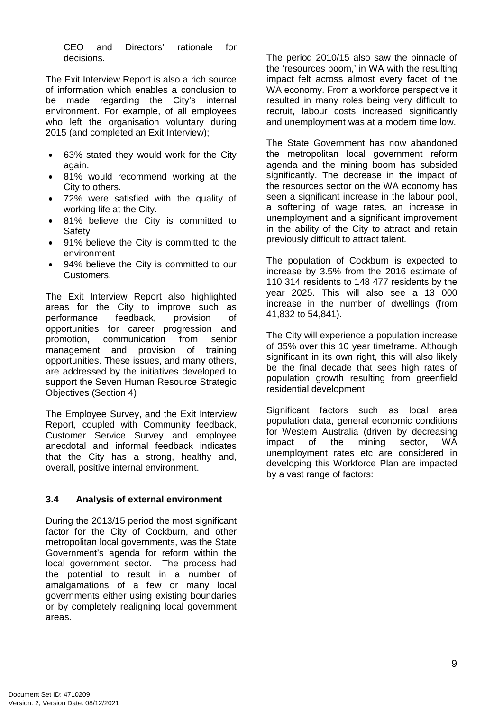CEO and Directors' rationale for decisions.

The Exit Interview Report is also a rich source of information which enables a conclusion to be made regarding the City's internal environment. For example, of all employees who left the organisation voluntary during 2015 (and completed an Exit Interview);

- 63% stated they would work for the City again.
- 81% would recommend working at the City to others.
- 72% were satisfied with the quality of working life at the City.
- 81% believe the City is committed to **Safety**
- 91% believe the City is committed to the environment
- 94% believe the City is committed to our Customers.

The Exit Interview Report also highlighted areas for the City to improve such as<br>performance feedback. provision of performance feedback, provision of opportunities for career progression and promotion, communication from senior management and provision of training opportunities. These issues, and many others, are addressed by the initiatives developed to support the Seven Human Resource Strategic Objectives (Section 4)

The Employee Survey, and the Exit Interview Report, coupled with Community feedback, Customer Service Survey and employee anecdotal and informal feedback indicates that the City has a strong, healthy and, overall, positive internal environment.

#### **3.4 Analysis of external environment**

During the 2013/15 period the most significant factor for the City of Cockburn, and other metropolitan local governments, was the State Government's agenda for reform within the local government sector. The process had the potential to result in a number of amalgamations of a few or many local governments either using existing boundaries or by completely realigning local government areas.

The period 2010/15 also saw the pinnacle of the 'resources boom,' in WA with the resulting impact felt across almost every facet of the WA economy. From a workforce perspective it resulted in many roles being very difficult to recruit, labour costs increased significantly and unemployment was at a modern time low.

The State Government has now abandoned the metropolitan local government reform agenda and the mining boom has subsided significantly. The decrease in the impact of the resources sector on the WA economy has seen a significant increase in the labour pool, a softening of wage rates, an increase in unemployment and a significant improvement in the ability of the City to attract and retain previously difficult to attract talent.

The population of Cockburn is expected to increase by 3.5% from the 2016 estimate of 110 314 residents to 148 477 residents by the year 2025. This will also see a 13 000 increase in the number of dwellings (from 41,832 to 54,841).

The City will experience a population increase of 35% over this 10 year timeframe. Although significant in its own right, this will also likely be the final decade that sees high rates of population growth resulting from greenfield residential development

Significant factors such as local area population data, general economic conditions for Western Australia (driven by decreasing impact of the mining sector, WA unemployment rates etc are considered in developing this Workforce Plan are impacted by a vast range of factors: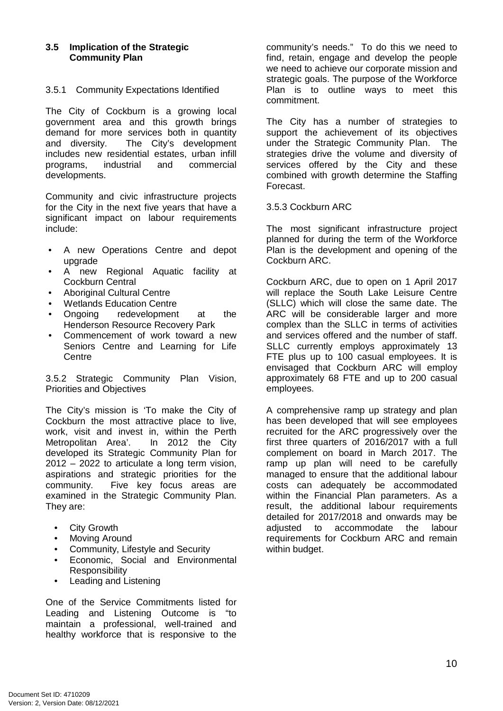#### **3.5 Implication of the Strategic Community Plan**

#### 3.5.1 Community Expectations Identified

The City of Cockburn is a growing local government area and this growth brings demand for more services both in quantity<br>and diversity. The City's development The City's development includes new residential estates, urban infill programs, developments.

Community and civic infrastructure projects for the City in the next five years that have a significant impact on labour requirements include:

- A new Operations Centre and depot upgrade
- A new Regional Aquatic facility at Cockburn Central
- Aboriginal Cultural Centre
- Wetlands Education Centre
- Ongoing redevelopment at the Henderson Resource Recovery Park
- Commencement of work toward a new Seniors Centre and Learning for Life **Centre**

3.5.2 Strategic Community Plan Vision, Priorities and Objectives

The City's mission is 'To make the City of Cockburn the most attractive place to live, work, visit and invest in, within the Perth Metropolitan Area'. In 2012 the City developed its Strategic Community Plan for 2012 – 2022 to articulate a long term vision, aspirations and strategic priorities for the community. Five key focus areas are Five key focus areas are examined in the Strategic Community Plan. They are:

- City Growth
- **Moving Around**
- Community, Lifestyle and Security
- Economic, Social and Environmental Responsibility
- Leading and Listening

One of the Service Commitments listed for Leading and Listening Outcome is "to maintain a professional, well-trained and healthy workforce that is responsive to the community's needs." To do this we need to find, retain, engage and develop the people we need to achieve our corporate mission and strategic goals. The purpose of the Workforce Plan is to outline ways to meet this commitment.

The City has a number of strategies to support the achievement of its objectives<br>under the Strategic Community Plan. The under the Strategic Community Plan. strategies drive the volume and diversity of services offered by the City and these combined with growth determine the Staffing Forecast.

#### 3.5.3 Cockburn ARC

The most significant infrastructure project planned for during the term of the Workforce Plan is the development and opening of the Cockburn ARC.

Cockburn ARC, due to open on 1 April 2017 will replace the South Lake Leisure Centre (SLLC) which will close the same date. The ARC will be considerable larger and more complex than the SLLC in terms of activities and services offered and the number of staff. SLLC currently employs approximately 13 FTE plus up to 100 casual employees. It is envisaged that Cockburn ARC will employ approximately 68 FTE and up to 200 casual employees.

A comprehensive ramp up strategy and plan has been developed that will see employees recruited for the ARC progressively over the first three quarters of 2016/2017 with a full complement on board in March 2017. The ramp up plan will need to be carefully managed to ensure that the additional labour costs can adequately be accommodated within the Financial Plan parameters. As a result, the additional labour requirements detailed for 2017/2018 and onwards may be adjusted to accommodate the labour requirements for Cockburn ARC and remain within budget.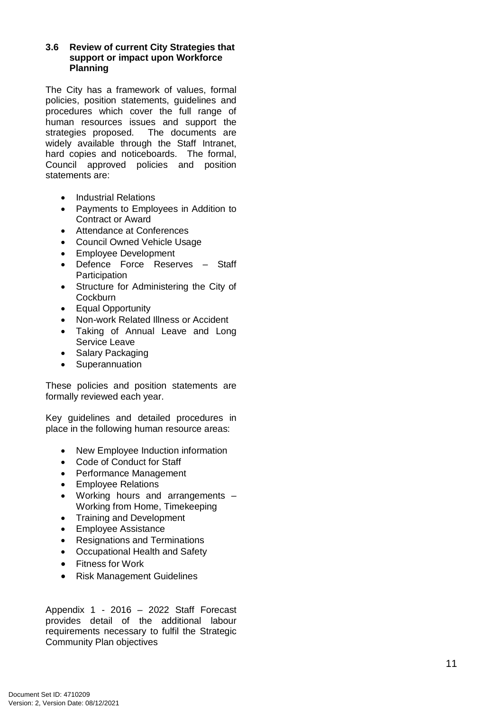#### **3.6 Review of current City Strategies that support or impact upon Workforce Planning**

The City has a framework of values, formal policies, position statements, guidelines and procedures which cover the full range of human resources issues and support the strategies proposed. The documents are widely available through the Staff Intranet, hard copies and noticeboards. The formal, Council approved policies and position statements are:

- Industrial Relations
- Payments to Employees in Addition to Contract or Award
- Attendance at Conferences
- Council Owned Vehicle Usage
- Employee Development
- Defence Force Reserves Staff **Participation**
- Structure for Administering the City of **Cockburn**
- Equal Opportunity
- Non-work Related Illness or Accident
- Taking of Annual Leave and Long Service Leave
- Salary Packaging
- Superannuation

These policies and position statements are formally reviewed each year.

Key guidelines and detailed procedures in place in the following human resource areas:

- New Employee Induction information
- Code of Conduct for Staff
- Performance Management
- Employee Relations
- Working hours and arrangements Working from Home, Timekeeping
- Training and Development
- Employee Assistance
- Resignations and Terminations
- Occupational Health and Safety
- Fitness for Work
- Risk Management Guidelines

Appendix 1 - 2016 – 2022 Staff Forecast provides detail of the additional labour requirements necessary to fulfil the Strategic Community Plan objectives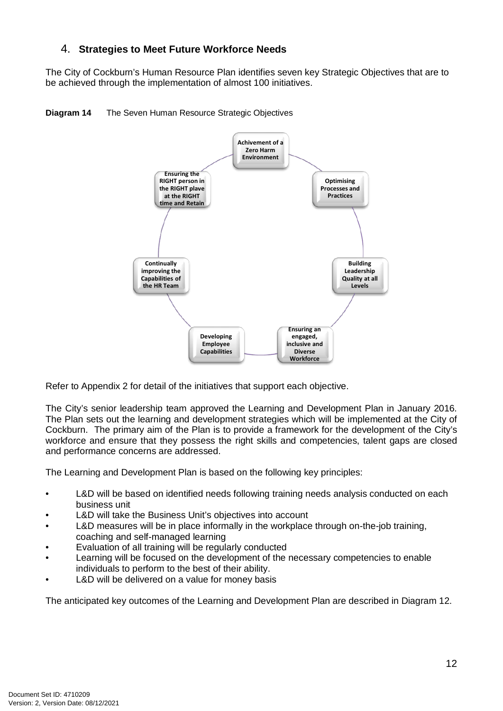### 4. **Strategies to Meet Future Workforce Needs**

The City of Cockburn's Human Resource Plan identifies seven key Strategic Objectives that are to be achieved through the implementation of almost 100 initiatives.





Refer to Appendix 2 for detail of the initiatives that support each objective.

The City's senior leadership team approved the Learning and Development Plan in January 2016. The Plan sets out the learning and development strategies which will be implemented at the City of Cockburn. The primary aim of the Plan is to provide a framework for the development of the City's workforce and ensure that they possess the right skills and competencies, talent gaps are closed and performance concerns are addressed.

The Learning and Development Plan is based on the following key principles:

- L&D will be based on identified needs following training needs analysis conducted on each business unit
- L&D will take the Business Unit's objectives into account
- L&D measures will be in place informally in the workplace through on-the-job training, coaching and self-managed learning
- Evaluation of all training will be regularly conducted
- Learning will be focused on the development of the necessary competencies to enable individuals to perform to the best of their ability.
- L&D will be delivered on a value for money basis

The anticipated key outcomes of the Learning and Development Plan are described in Diagram 12.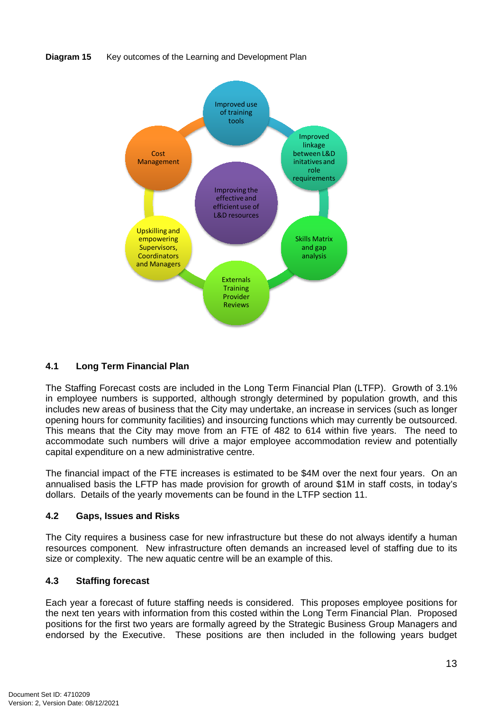



#### **4.1 Long Term Financial Plan**

The Staffing Forecast costs are included in the Long Term Financial Plan (LTFP). Growth of 3.1% in employee numbers is supported, although strongly determined by population growth, and this includes new areas of business that the City may undertake, an increase in services (such as longer opening hours for community facilities) and insourcing functions which may currently be outsourced. This means that the City may move from an FTE of 482 to 614 within five years. The need to accommodate such numbers will drive a major employee accommodation review and potentially capital expenditure on a new administrative centre.

The financial impact of the FTE increases is estimated to be \$4M over the next four years. On an annualised basis the LFTP has made provision for growth of around \$1M in staff costs, in today's dollars. Details of the yearly movements can be found in the LTFP section 11.

#### **4.2 Gaps, Issues and Risks**

The City requires a business case for new infrastructure but these do not always identify a human resources component. New infrastructure often demands an increased level of staffing due to its size or complexity. The new aquatic centre will be an example of this.

#### **4.3 Staffing forecast**

Each year a forecast of future staffing needs is considered. This proposes employee positions for the next ten years with information from this costed within the Long Term Financial Plan. Proposed positions for the first two years are formally agreed by the Strategic Business Group Managers and endorsed by the Executive. These positions are then included in the following years budget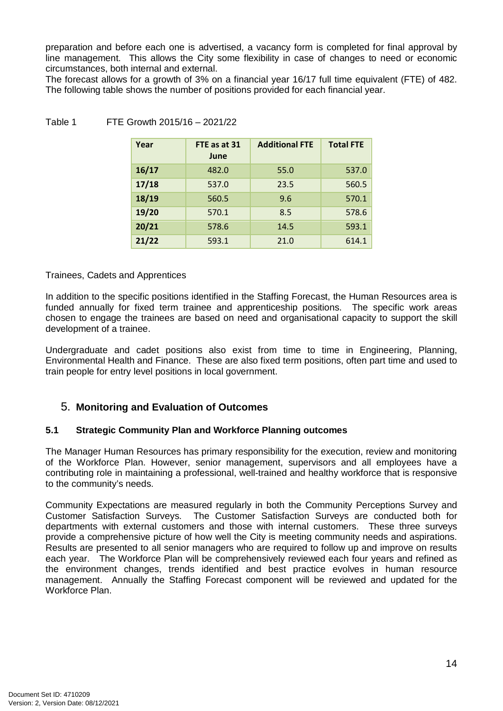preparation and before each one is advertised, a vacancy form is completed for final approval by line management. This allows the City some flexibility in case of changes to need or economic circumstances, both internal and external.

The forecast allows for a growth of 3% on a financial year 16/17 full time equivalent (FTE) of 482. The following table shows the number of positions provided for each financial year.

| Year  | FTE as at 31<br>June | <b>Additional FTE</b> | <b>Total FTE</b> |
|-------|----------------------|-----------------------|------------------|
| 16/17 | 482.0                | 55.0                  | 537.0            |
| 17/18 | 537.0                | 23.5                  | 560.5            |
| 18/19 | 560.5                | 9.6                   | 570.1            |
| 19/20 | 570.1                | 8.5                   | 578.6            |
| 20/21 | 578.6                | 14.5                  | 593.1            |
| 21/22 | 593.1                | 21.0                  | 614.1            |

Table 1 FTE Growth 2015/16 – 2021/22

#### Trainees, Cadets and Apprentices

In addition to the specific positions identified in the Staffing Forecast, the Human Resources area is funded annually for fixed term trainee and apprenticeship positions. The specific work areas chosen to engage the trainees are based on need and organisational capacity to support the skill development of a trainee.

Undergraduate and cadet positions also exist from time to time in Engineering, Planning, Environmental Health and Finance. These are also fixed term positions, often part time and used to train people for entry level positions in local government.

#### 5. **Monitoring and Evaluation of Outcomes**

#### **5.1 Strategic Community Plan and Workforce Planning outcomes**

The Manager Human Resources has primary responsibility for the execution, review and monitoring of the Workforce Plan. However, senior management, supervisors and all employees have a contributing role in maintaining a professional, well-trained and healthy workforce that is responsive to the community's needs.

Community Expectations are measured regularly in both the Community Perceptions Survey and Customer Satisfaction Surveys. The Customer Satisfaction Surveys are conducted both for departments with external customers and those with internal customers. These three surveys provide a comprehensive picture of how well the City is meeting community needs and aspirations. Results are presented to all senior managers who are required to follow up and improve on results each year. The Workforce Plan will be comprehensively reviewed each four years and refined as the environment changes, trends identified and best practice evolves in human resource management. Annually the Staffing Forecast component will be reviewed and updated for the Workforce Plan.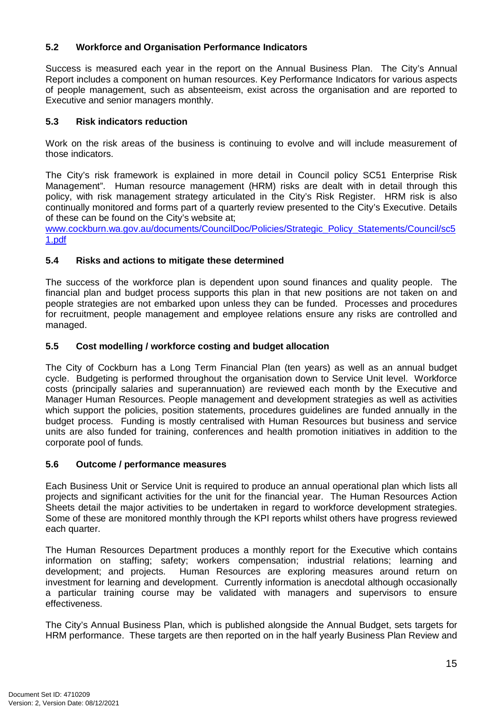#### **5.2 Workforce and Organisation Performance Indicators**

Success is measured each year in the report on the Annual Business Plan. The City's Annual Report includes a component on human resources. Key Performance Indicators for various aspects of people management, such as absenteeism, exist across the organisation and are reported to Executive and senior managers monthly.

#### **5.3 Risk indicators reduction**

Work on the risk areas of the business is continuing to evolve and will include measurement of those indicators.

The City's risk framework is explained in more detail in Council policy SC51 Enterprise Risk Management". Human resource management (HRM) risks are dealt with in detail through this policy, with risk management strategy articulated in the City's Risk Register. HRM risk is also continually monitored and forms part of a quarterly review presented to the City's Executive. Details of these can be found on the City's website at;

[www.cockburn.wa.gov.au/documents/CouncilDoc/Policies/Strategic\\_Policy\\_Statements/Council/sc5](http://www.cockburn.wa.gov.au/documents/CouncilDoc/Policies/Strategic_Policy_Statements/Council/sc51.pdf) [1.pdf](http://www.cockburn.wa.gov.au/documents/CouncilDoc/Policies/Strategic_Policy_Statements/Council/sc51.pdf)

#### **5.4 Risks and actions to mitigate these determined**

The success of the workforce plan is dependent upon sound finances and quality people. The financial plan and budget process supports this plan in that new positions are not taken on and people strategies are not embarked upon unless they can be funded. Processes and procedures for recruitment, people management and employee relations ensure any risks are controlled and managed.

#### **5.5 Cost modelling / workforce costing and budget allocation**

The City of Cockburn has a Long Term Financial Plan (ten years) as well as an annual budget cycle. Budgeting is performed throughout the organisation down to Service Unit level. Workforce costs (principally salaries and superannuation) are reviewed each month by the Executive and Manager Human Resources. People management and development strategies as well as activities which support the policies, position statements, procedures quidelines are funded annually in the budget process. Funding is mostly centralised with Human Resources but business and service units are also funded for training, conferences and health promotion initiatives in addition to the corporate pool of funds.

#### **5.6 Outcome / performance measures**

Each Business Unit or Service Unit is required to produce an annual operational plan which lists all projects and significant activities for the unit for the financial year. The Human Resources Action Sheets detail the major activities to be undertaken in regard to workforce development strategies. Some of these are monitored monthly through the KPI reports whilst others have progress reviewed each quarter.

The Human Resources Department produces a monthly report for the Executive which contains information on staffing; safety; workers compensation; industrial relations; learning and development; and projects. Human Resources are exploring measures around return on investment for learning and development. Currently information is anecdotal although occasionally a particular training course may be validated with managers and supervisors to ensure effectiveness.

The City's Annual Business Plan, which is published alongside the Annual Budget, sets targets for HRM performance. These targets are then reported on in the half yearly Business Plan Review and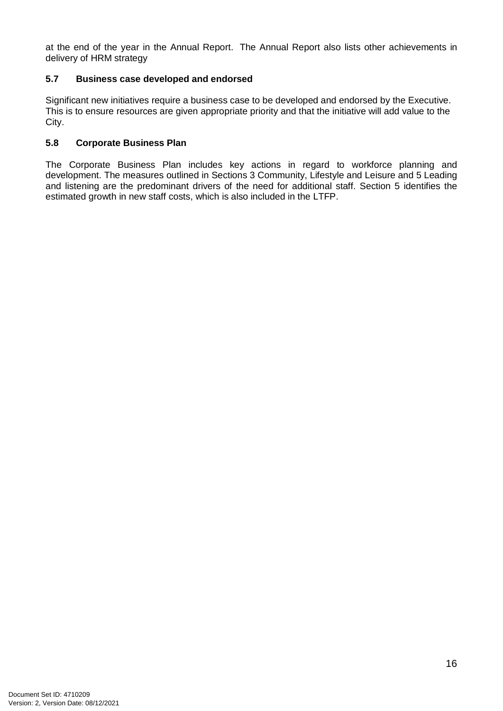at the end of the year in the Annual Report. The Annual Report also lists other achievements in delivery of HRM strategy

#### **5.7 Business case developed and endorsed**

Significant new initiatives require a business case to be developed and endorsed by the Executive. This is to ensure resources are given appropriate priority and that the initiative will add value to the City.

#### **5.8 Corporate Business Plan**

The Corporate Business Plan includes key actions in regard to workforce planning and development. The measures outlined in Sections 3 Community, Lifestyle and Leisure and 5 Leading and listening are the predominant drivers of the need for additional staff. Section 5 identifies the estimated growth in new staff costs, which is also included in the LTFP.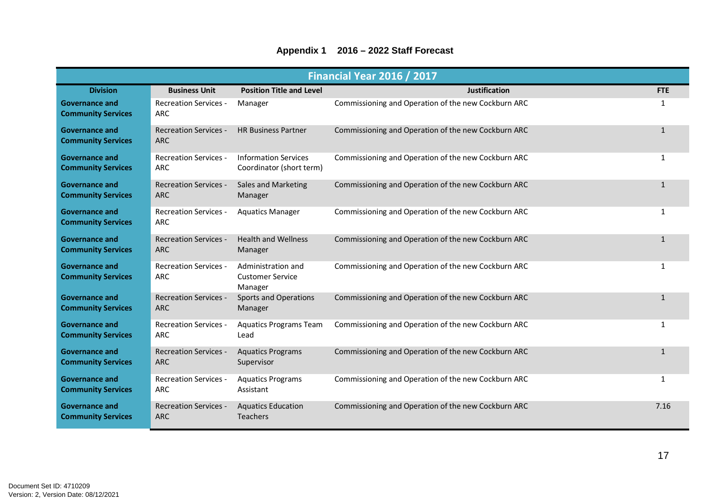|                                                    |                                            |                                                          | <b>Financial Year 2016 / 2017</b>                   |              |
|----------------------------------------------------|--------------------------------------------|----------------------------------------------------------|-----------------------------------------------------|--------------|
| <b>Division</b>                                    | <b>Business Unit</b>                       | <b>Position Title and Level</b>                          | <b>Justification</b>                                | <b>FTE</b>   |
| <b>Governance and</b><br><b>Community Services</b> | <b>Recreation Services -</b><br>ARC        | Manager                                                  | Commissioning and Operation of the new Cockburn ARC | $\mathbf{1}$ |
| <b>Governance and</b><br><b>Community Services</b> | <b>Recreation Services -</b><br><b>ARC</b> | <b>HR Business Partner</b>                               | Commissioning and Operation of the new Cockburn ARC | $\mathbf{1}$ |
| <b>Governance and</b><br><b>Community Services</b> | <b>Recreation Services -</b><br>ARC        | <b>Information Services</b><br>Coordinator (short term)  | Commissioning and Operation of the new Cockburn ARC | -1           |
| <b>Governance and</b><br><b>Community Services</b> | <b>Recreation Services -</b><br><b>ARC</b> | Sales and Marketing<br>Manager                           | Commissioning and Operation of the new Cockburn ARC | $\mathbf{1}$ |
| <b>Governance and</b><br><b>Community Services</b> | <b>Recreation Services -</b><br>ARC        | <b>Aquatics Manager</b>                                  | Commissioning and Operation of the new Cockburn ARC | $\mathbf{1}$ |
| <b>Governance and</b><br><b>Community Services</b> | <b>Recreation Services -</b><br><b>ARC</b> | <b>Health and Wellness</b><br>Manager                    | Commissioning and Operation of the new Cockburn ARC | $\mathbf{1}$ |
| <b>Governance and</b><br><b>Community Services</b> | <b>Recreation Services -</b><br>ARC        | Administration and<br><b>Customer Service</b><br>Manager | Commissioning and Operation of the new Cockburn ARC | -1           |
| <b>Governance and</b><br><b>Community Services</b> | <b>Recreation Services -</b><br><b>ARC</b> | <b>Sports and Operations</b><br>Manager                  | Commissioning and Operation of the new Cockburn ARC | $\mathbf{1}$ |
| <b>Governance and</b><br><b>Community Services</b> | <b>Recreation Services -</b><br>ARC        | <b>Aquatics Programs Team</b><br>Lead                    | Commissioning and Operation of the new Cockburn ARC | -1           |
| <b>Governance and</b><br><b>Community Services</b> | <b>Recreation Services -</b><br><b>ARC</b> | <b>Aquatics Programs</b><br>Supervisor                   | Commissioning and Operation of the new Cockburn ARC | $\mathbf{1}$ |
| <b>Governance and</b><br><b>Community Services</b> | <b>Recreation Services -</b><br>ARC        | <b>Aquatics Programs</b><br>Assistant                    | Commissioning and Operation of the new Cockburn ARC | $\mathbf{1}$ |
| <b>Governance and</b><br><b>Community Services</b> | <b>Recreation Services -</b><br><b>ARC</b> | <b>Aquatics Education</b><br><b>Teachers</b>             | Commissioning and Operation of the new Cockburn ARC | 7.16         |

#### **Appendix 1 2016 – 2022 Staff Forecast**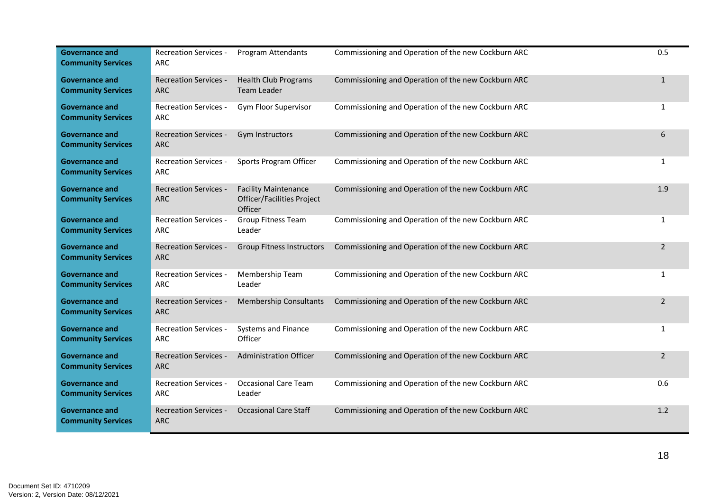| <b>Governance and</b><br><b>Community Services</b> | <b>Recreation Services -</b><br>ARC        | Program Attendants                                                          | Commissioning and Operation of the new Cockburn ARC | 0.5            |
|----------------------------------------------------|--------------------------------------------|-----------------------------------------------------------------------------|-----------------------------------------------------|----------------|
| <b>Governance and</b><br><b>Community Services</b> | <b>Recreation Services -</b><br><b>ARC</b> | <b>Health Club Programs</b><br>Team Leader                                  | Commissioning and Operation of the new Cockburn ARC | $\mathbf{1}$   |
| <b>Governance and</b><br><b>Community Services</b> | <b>Recreation Services -</b><br>ARC        | Gym Floor Supervisor                                                        | Commissioning and Operation of the new Cockburn ARC | 1              |
| <b>Governance and</b><br><b>Community Services</b> | <b>Recreation Services -</b><br><b>ARC</b> | Gym Instructors                                                             | Commissioning and Operation of the new Cockburn ARC | 6              |
| <b>Governance and</b><br><b>Community Services</b> | <b>Recreation Services -</b><br><b>ARC</b> | Sports Program Officer                                                      | Commissioning and Operation of the new Cockburn ARC | $\mathbf{1}$   |
| Governance and<br><b>Community Services</b>        | <b>Recreation Services -</b><br><b>ARC</b> | <b>Facility Maintenance</b><br><b>Officer/Facilities Project</b><br>Officer | Commissioning and Operation of the new Cockburn ARC | 1.9            |
| <b>Governance and</b><br><b>Community Services</b> | <b>Recreation Services -</b><br><b>ARC</b> | Group Fitness Team<br>Leader                                                | Commissioning and Operation of the new Cockburn ARC | 1              |
| <b>Governance and</b><br><b>Community Services</b> | <b>Recreation Services -</b><br><b>ARC</b> | <b>Group Fitness Instructors</b>                                            | Commissioning and Operation of the new Cockburn ARC | $\overline{2}$ |
| <b>Governance and</b><br><b>Community Services</b> | <b>Recreation Services -</b><br><b>ARC</b> | Membership Team<br>Leader                                                   | Commissioning and Operation of the new Cockburn ARC | $\mathbf{1}$   |
| <b>Governance and</b><br><b>Community Services</b> | <b>Recreation Services -</b><br><b>ARC</b> | <b>Membership Consultants</b>                                               | Commissioning and Operation of the new Cockburn ARC | $\overline{2}$ |
| <b>Governance and</b><br><b>Community Services</b> | <b>Recreation Services -</b><br><b>ARC</b> | Systems and Finance<br>Officer                                              | Commissioning and Operation of the new Cockburn ARC | $\mathbf{1}$   |
| <b>Governance and</b><br><b>Community Services</b> | <b>Recreation Services -</b><br>ARC        | <b>Administration Officer</b>                                               | Commissioning and Operation of the new Cockburn ARC | $\overline{2}$ |
| Governance and<br><b>Community Services</b>        | <b>Recreation Services -</b><br><b>ARC</b> | <b>Occasional Care Team</b><br>Leader                                       | Commissioning and Operation of the new Cockburn ARC | 0.6            |
| <b>Governance and</b><br><b>Community Services</b> | <b>Recreation Services -</b><br><b>ARC</b> | <b>Occasional Care Staff</b>                                                | Commissioning and Operation of the new Cockburn ARC | 1.2            |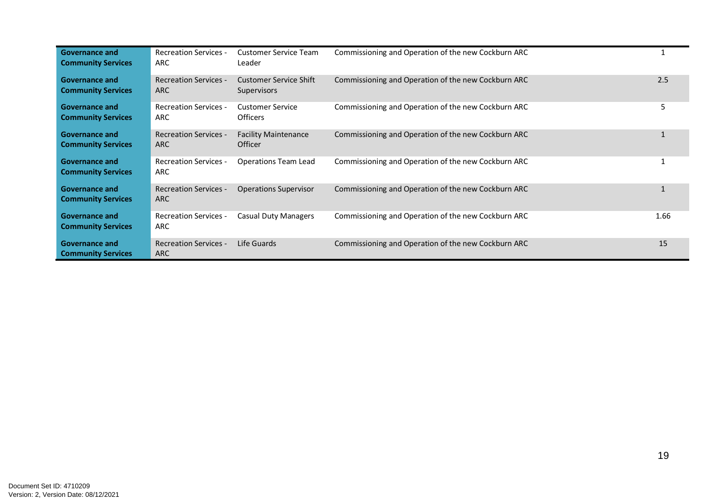| <b>Governance and</b><br><b>Community Services</b> | <b>Recreation Services -</b><br>ARC        | <b>Customer Service Team</b><br>Leader              | Commissioning and Operation of the new Cockburn ARC |              |
|----------------------------------------------------|--------------------------------------------|-----------------------------------------------------|-----------------------------------------------------|--------------|
| Governance and<br><b>Community Services</b>        | <b>Recreation Services -</b><br><b>ARC</b> | <b>Customer Service Shift</b><br><b>Supervisors</b> | Commissioning and Operation of the new Cockburn ARC | 2.5          |
| <b>Governance and</b><br><b>Community Services</b> | <b>Recreation Services -</b><br><b>ARC</b> | <b>Customer Service</b><br><b>Officers</b>          | Commissioning and Operation of the new Cockburn ARC | 5            |
| Governance and<br><b>Community Services</b>        | <b>Recreation Services -</b><br><b>ARC</b> | <b>Facility Maintenance</b><br>Officer              | Commissioning and Operation of the new Cockburn ARC |              |
| Governance and<br><b>Community Services</b>        | <b>Recreation Services -</b><br>ARC        | Operations Team Lead                                | Commissioning and Operation of the new Cockburn ARC |              |
| <b>Governance and</b><br><b>Community Services</b> | <b>Recreation Services -</b><br><b>ARC</b> | <b>Operations Supervisor</b>                        | Commissioning and Operation of the new Cockburn ARC | $\mathbf{1}$ |
| <b>Governance and</b><br><b>Community Services</b> | <b>Recreation Services -</b><br>ARC        | Casual Duty Managers                                | Commissioning and Operation of the new Cockburn ARC | 1.66         |
| <b>Governance and</b><br><b>Community Services</b> | <b>Recreation Services -</b><br>ARC        | Life Guards                                         | Commissioning and Operation of the new Cockburn ARC | 15           |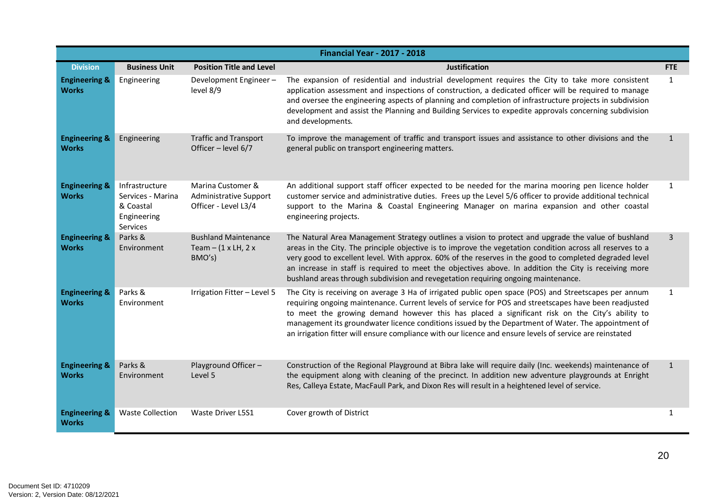|                                          |                                                                             |                                                                            | <b>Financial Year - 2017 - 2018</b>                                                                                                                                                                                                                                                                                                                                                                                                                                                                                                  |                |
|------------------------------------------|-----------------------------------------------------------------------------|----------------------------------------------------------------------------|--------------------------------------------------------------------------------------------------------------------------------------------------------------------------------------------------------------------------------------------------------------------------------------------------------------------------------------------------------------------------------------------------------------------------------------------------------------------------------------------------------------------------------------|----------------|
| <b>Division</b>                          | <b>Business Unit</b>                                                        | <b>Position Title and Level</b>                                            | <b>Justification</b>                                                                                                                                                                                                                                                                                                                                                                                                                                                                                                                 | FTE            |
| <b>Engineering &amp;</b><br><b>Works</b> | Engineering                                                                 | Development Engineer-<br>level 8/9                                         | The expansion of residential and industrial development requires the City to take more consistent<br>application assessment and inspections of construction, a dedicated officer will be required to manage<br>and oversee the engineering aspects of planning and completion of infrastructure projects in subdivision<br>development and assist the Planning and Building Services to expedite approvals concerning subdivision<br>and developments.                                                                               | $\mathbf{1}$   |
| <b>Engineering &amp;</b><br><b>Works</b> | Engineering                                                                 | <b>Traffic and Transport</b><br>Officer - level 6/7                        | To improve the management of traffic and transport issues and assistance to other divisions and the<br>general public on transport engineering matters.                                                                                                                                                                                                                                                                                                                                                                              | $\mathbf{1}$   |
| <b>Engineering &amp;</b><br><b>Works</b> | Infrastructure<br>Services - Marina<br>& Coastal<br>Engineering<br>Services | Marina Customer &<br><b>Administrative Support</b><br>Officer - Level L3/4 | An additional support staff officer expected to be needed for the marina mooring pen licence holder<br>customer service and administrative duties. Frees up the Level 5/6 officer to provide additional technical<br>support to the Marina & Coastal Engineering Manager on marina expansion and other coastal<br>engineering projects.                                                                                                                                                                                              | $\mathbf{1}$   |
| <b>Engineering &amp;</b><br><b>Works</b> | Parks &<br>Environment                                                      | <b>Bushland Maintenance</b><br>Team $-$ (1 x LH, 2 x<br>BMO's)             | The Natural Area Management Strategy outlines a vision to protect and upgrade the value of bushland<br>areas in the City. The principle objective is to improve the vegetation condition across all reserves to a<br>very good to excellent level. With approx. 60% of the reserves in the good to completed degraded level<br>an increase in staff is required to meet the objectives above. In addition the City is receiving more<br>bushland areas through subdivision and revegetation requiring ongoing maintenance.           | $\overline{3}$ |
| <b>Engineering &amp;</b><br><b>Works</b> | Parks &<br>Environment                                                      | Irrigation Fitter - Level 5                                                | The City is receiving on average 3 Ha of irrigated public open space (POS) and Streetscapes per annum<br>requiring ongoing maintenance. Current levels of service for POS and streetscapes have been readjusted<br>to meet the growing demand however this has placed a significant risk on the City's ability to<br>management its groundwater licence conditions issued by the Department of Water. The appointment of<br>an irrigation fitter will ensure compliance with our licence and ensure levels of service are reinstated | $\mathbf{1}$   |
| <b>Engineering &amp;</b><br><b>Works</b> | Parks &<br>Environment                                                      | Playground Officer-<br>Level 5                                             | Construction of the Regional Playground at Bibra lake will require daily (Inc. weekends) maintenance of<br>the equipment along with cleaning of the precinct. In addition new adventure playgrounds at Enright<br>Res, Calleya Estate, MacFaull Park, and Dixon Res will result in a heightened level of service.                                                                                                                                                                                                                    | $\mathbf{1}$   |
| <b>Engineering &amp;</b><br><b>Works</b> | <b>Waste Collection</b>                                                     | <b>Waste Driver L5S1</b>                                                   | Cover growth of District                                                                                                                                                                                                                                                                                                                                                                                                                                                                                                             | 1              |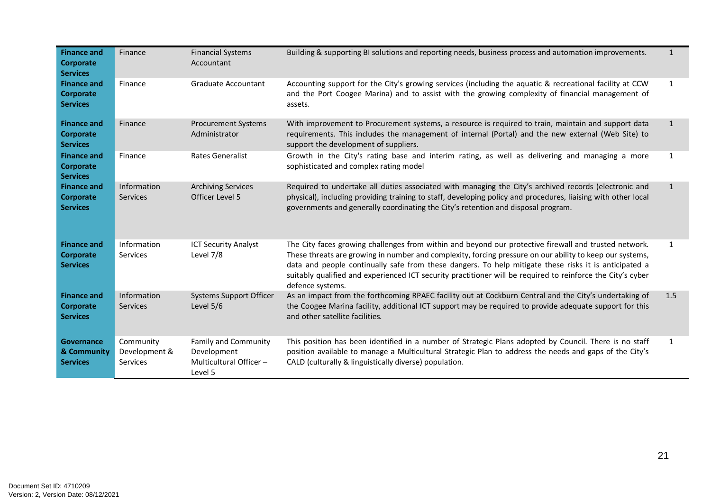| <b>Finance and</b><br>Corporate<br><b>Services</b>        | Finance                                | <b>Financial Systems</b><br>Accountant                                           | Building & supporting BI solutions and reporting needs, business process and automation improvements.                                                                                                                                                                                                                                                                                                                                                         | $\mathbf{1}$ |
|-----------------------------------------------------------|----------------------------------------|----------------------------------------------------------------------------------|---------------------------------------------------------------------------------------------------------------------------------------------------------------------------------------------------------------------------------------------------------------------------------------------------------------------------------------------------------------------------------------------------------------------------------------------------------------|--------------|
| <b>Finance and</b><br>Corporate<br><b>Services</b>        | Finance                                | Graduate Accountant                                                              | Accounting support for the City's growing services (including the aquatic & recreational facility at CCW<br>and the Port Coogee Marina) and to assist with the growing complexity of financial management of<br>assets.                                                                                                                                                                                                                                       | 1            |
| <b>Finance and</b><br>Corporate<br><b>Services</b>        | Finance                                | <b>Procurement Systems</b><br>Administrator                                      | With improvement to Procurement systems, a resource is required to train, maintain and support data<br>requirements. This includes the management of internal (Portal) and the new external (Web Site) to<br>support the development of suppliers.                                                                                                                                                                                                            | 1            |
| <b>Finance and</b><br>Corporate<br><b>Services</b>        | Finance                                | Rates Generalist                                                                 | Growth in the City's rating base and interim rating, as well as delivering and managing a more<br>sophisticated and complex rating model                                                                                                                                                                                                                                                                                                                      | 1            |
| <b>Finance and</b><br><b>Corporate</b><br><b>Services</b> | Information<br><b>Services</b>         | <b>Archiving Services</b><br>Officer Level 5                                     | Required to undertake all duties associated with managing the City's archived records (electronic and<br>physical), including providing training to staff, developing policy and procedures, liaising with other local<br>governments and generally coordinating the City's retention and disposal program.                                                                                                                                                   | $\mathbf{1}$ |
| <b>Finance and</b><br>Corporate<br><b>Services</b>        | Information<br>Services                | <b>ICT Security Analyst</b><br>Level 7/8                                         | The City faces growing challenges from within and beyond our protective firewall and trusted network.<br>These threats are growing in number and complexity, forcing pressure on our ability to keep our systems,<br>data and people continually safe from these dangers. To help mitigate these risks it is anticipated a<br>suitably qualified and experienced ICT security practitioner will be required to reinforce the City's cyber<br>defence systems. | 1            |
| <b>Finance and</b><br>Corporate<br><b>Services</b>        | Information<br><b>Services</b>         | <b>Systems Support Officer</b><br>Level 5/6                                      | As an impact from the forthcoming RPAEC facility out at Cockburn Central and the City's undertaking of<br>the Coogee Marina facility, additional ICT support may be required to provide adequate support for this<br>and other satellite facilities.                                                                                                                                                                                                          | 1.5          |
| Governance<br>& Community<br><b>Services</b>              | Community<br>Development &<br>Services | <b>Family and Community</b><br>Development<br>Multicultural Officer -<br>Level 5 | This position has been identified in a number of Strategic Plans adopted by Council. There is no staff<br>position available to manage a Multicultural Strategic Plan to address the needs and gaps of the City's<br>CALD (culturally & linguistically diverse) population.                                                                                                                                                                                   | 1            |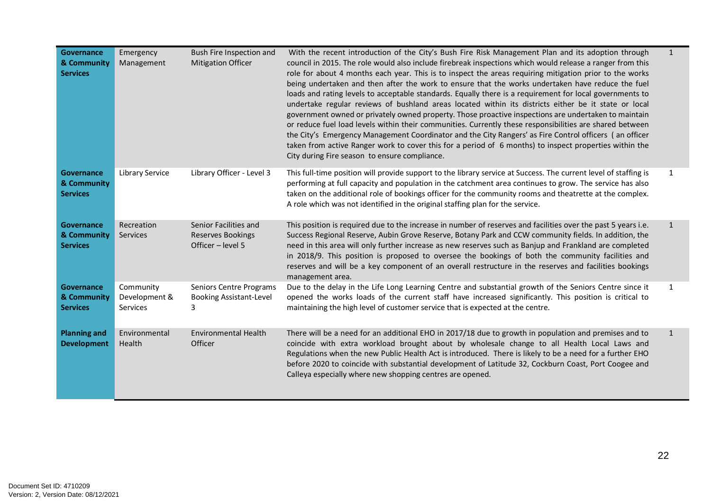| Governance<br>& Community<br><b>Services</b>        | Emergency<br>Management                | Bush Fire Inspection and<br><b>Mitigation Officer</b>                  | With the recent introduction of the City's Bush Fire Risk Management Plan and its adoption through<br>council in 2015. The role would also include firebreak inspections which would release a ranger from this<br>role for about 4 months each year. This is to inspect the areas requiring mitigation prior to the works<br>being undertaken and then after the work to ensure that the works undertaken have reduce the fuel<br>loads and rating levels to acceptable standards. Equally there is a requirement for local governments to<br>undertake regular reviews of bushland areas located within its districts either be it state or local<br>government owned or privately owned property. Those proactive inspections are undertaken to maintain<br>or reduce fuel load levels within their communities. Currently these responsibilities are shared between<br>the City's Emergency Management Coordinator and the City Rangers' as Fire Control officers (an officer<br>taken from active Ranger work to cover this for a period of 6 months) to inspect properties within the<br>City during Fire season to ensure compliance. | $\mathbf{1}$ |
|-----------------------------------------------------|----------------------------------------|------------------------------------------------------------------------|----------------------------------------------------------------------------------------------------------------------------------------------------------------------------------------------------------------------------------------------------------------------------------------------------------------------------------------------------------------------------------------------------------------------------------------------------------------------------------------------------------------------------------------------------------------------------------------------------------------------------------------------------------------------------------------------------------------------------------------------------------------------------------------------------------------------------------------------------------------------------------------------------------------------------------------------------------------------------------------------------------------------------------------------------------------------------------------------------------------------------------------------|--------------|
| <b>Governance</b><br>& Community<br><b>Services</b> | Library Service                        | Library Officer - Level 3                                              | This full-time position will provide support to the library service at Success. The current level of staffing is<br>performing at full capacity and population in the catchment area continues to grow. The service has also<br>taken on the additional role of bookings officer for the community rooms and theatrette at the complex.<br>A role which was not identified in the original staffing plan for the service.                                                                                                                                                                                                                                                                                                                                                                                                                                                                                                                                                                                                                                                                                                                    | 1            |
| Governance<br>& Community<br><b>Services</b>        | Recreation<br>Services                 | Senior Facilities and<br><b>Reserves Bookings</b><br>Officer - level 5 | This position is required due to the increase in number of reserves and facilities over the past 5 years i.e.<br>Success Regional Reserve, Aubin Grove Reserve, Botany Park and CCW community fields. In addition, the<br>need in this area will only further increase as new reserves such as Banjup and Frankland are completed<br>in 2018/9. This position is proposed to oversee the bookings of both the community facilities and<br>reserves and will be a key component of an overall restructure in the reserves and facilities bookings<br>management area.                                                                                                                                                                                                                                                                                                                                                                                                                                                                                                                                                                         | $\mathbf{1}$ |
| Governance<br>& Community<br><b>Services</b>        | Community<br>Development &<br>Services | Seniors Centre Programs<br><b>Booking Assistant-Level</b><br>3         | Due to the delay in the Life Long Learning Centre and substantial growth of the Seniors Centre since it<br>opened the works loads of the current staff have increased significantly. This position is critical to<br>maintaining the high level of customer service that is expected at the centre.                                                                                                                                                                                                                                                                                                                                                                                                                                                                                                                                                                                                                                                                                                                                                                                                                                          | $\mathbf{1}$ |
| <b>Planning and</b><br><b>Development</b>           | Environmental<br>Health                | <b>Environmental Health</b><br>Officer                                 | There will be a need for an additional EHO in 2017/18 due to growth in population and premises and to<br>coincide with extra workload brought about by wholesale change to all Health Local Laws and<br>Regulations when the new Public Health Act is introduced. There is likely to be a need for a further EHO<br>before 2020 to coincide with substantial development of Latitude 32, Cockburn Coast, Port Coogee and<br>Calleya especially where new shopping centres are opened.                                                                                                                                                                                                                                                                                                                                                                                                                                                                                                                                                                                                                                                        | $\mathbf{1}$ |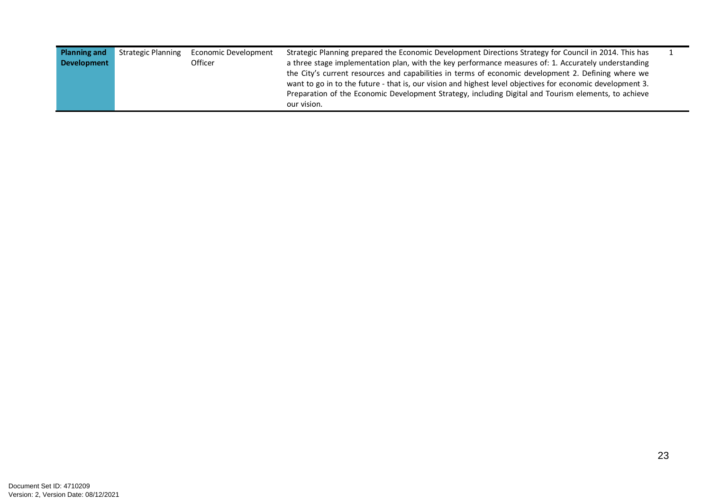| Planning and | <b>Strategic Planning</b> | Economic Development | Strategic Planning prepared the Economic Development Directions Strategy for Council in 2014. This has     |  |
|--------------|---------------------------|----------------------|------------------------------------------------------------------------------------------------------------|--|
| Development  |                           | Officer              | a three stage implementation plan, with the key performance measures of: 1. Accurately understanding       |  |
|              |                           |                      | the City's current resources and capabilities in terms of economic development 2. Defining where we        |  |
|              |                           |                      | want to go in to the future - that is, our vision and highest level objectives for economic development 3. |  |
|              |                           |                      | Preparation of the Economic Development Strategy, including Digital and Tourism elements, to achieve       |  |
|              |                           |                      | our vision.                                                                                                |  |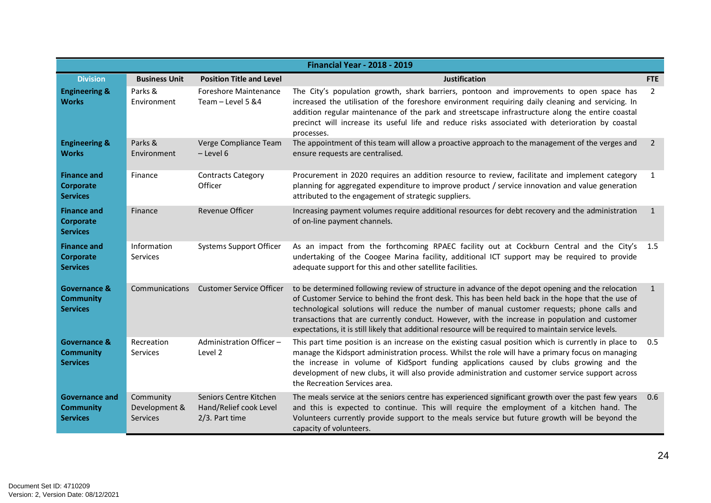|                                                                |                                        |                                                                    | <b>Financial Year - 2018 - 2019</b>                                                                                                                                                                                                                                                                                                                                                                                                                                                                               |                |
|----------------------------------------------------------------|----------------------------------------|--------------------------------------------------------------------|-------------------------------------------------------------------------------------------------------------------------------------------------------------------------------------------------------------------------------------------------------------------------------------------------------------------------------------------------------------------------------------------------------------------------------------------------------------------------------------------------------------------|----------------|
| <b>Division</b>                                                | <b>Business Unit</b>                   | <b>Position Title and Level</b>                                    | <b>Justification</b>                                                                                                                                                                                                                                                                                                                                                                                                                                                                                              | <b>FTE</b>     |
| <b>Engineering &amp;</b><br><b>Works</b>                       | Parks &<br>Environment                 | <b>Foreshore Maintenance</b><br>Team - Level 5 &4                  | The City's population growth, shark barriers, pontoon and improvements to open space has<br>increased the utilisation of the foreshore environment requiring daily cleaning and servicing. In<br>addition regular maintenance of the park and streetscape infrastructure along the entire coastal<br>precinct will increase its useful life and reduce risks associated with deterioration by coastal<br>processes.                                                                                               | 2              |
| <b>Engineering &amp;</b><br><b>Works</b>                       | Parks &<br>Environment                 | Verge Compliance Team<br>$-$ Level 6                               | The appointment of this team will allow a proactive approach to the management of the verges and<br>ensure requests are centralised.                                                                                                                                                                                                                                                                                                                                                                              | $\overline{2}$ |
| <b>Finance and</b><br>Corporate<br><b>Services</b>             | Finance                                | <b>Contracts Category</b><br>Officer                               | Procurement in 2020 requires an addition resource to review, facilitate and implement category<br>planning for aggregated expenditure to improve product / service innovation and value generation<br>attributed to the engagement of strategic suppliers.                                                                                                                                                                                                                                                        | $\mathbf{1}$   |
| <b>Finance and</b><br>Corporate<br><b>Services</b>             | Finance                                | Revenue Officer                                                    | Increasing payment volumes require additional resources for debt recovery and the administration<br>of on-line payment channels.                                                                                                                                                                                                                                                                                                                                                                                  | $\mathbf{1}$   |
| <b>Finance and</b><br>Corporate<br><b>Services</b>             | Information<br>Services                | <b>Systems Support Officer</b>                                     | As an impact from the forthcoming RPAEC facility out at Cockburn Central and the City's<br>undertaking of the Coogee Marina facility, additional ICT support may be required to provide<br>adequate support for this and other satellite facilities.                                                                                                                                                                                                                                                              | 1.5            |
| <b>Governance &amp;</b><br><b>Community</b><br><b>Services</b> | Communications                         | <b>Customer Service Officer</b>                                    | to be determined following review of structure in advance of the depot opening and the relocation<br>of Customer Service to behind the front desk. This has been held back in the hope that the use of<br>technological solutions will reduce the number of manual customer requests; phone calls and<br>transactions that are currently conduct. However, with the increase in population and customer<br>expectations, it is still likely that additional resource will be required to maintain service levels. | 1              |
| <b>Governance &amp;</b><br><b>Community</b><br><b>Services</b> | Recreation<br><b>Services</b>          | Administration Officer-<br>Level 2                                 | This part time position is an increase on the existing casual position which is currently in place to<br>manage the Kidsport administration process. Whilst the role will have a primary focus on managing<br>the increase in volume of KidSport funding applications caused by clubs growing and the<br>development of new clubs, it will also provide administration and customer service support across<br>the Recreation Services area.                                                                       | 0.5            |
| <b>Governance and</b><br><b>Community</b><br><b>Services</b>   | Community<br>Development &<br>Services | Seniors Centre Kitchen<br>Hand/Relief cook Level<br>2/3. Part time | The meals service at the seniors centre has experienced significant growth over the past few years<br>and this is expected to continue. This will require the employment of a kitchen hand. The<br>Volunteers currently provide support to the meals service but future growth will be beyond the<br>capacity of volunteers.                                                                                                                                                                                      | 0.6            |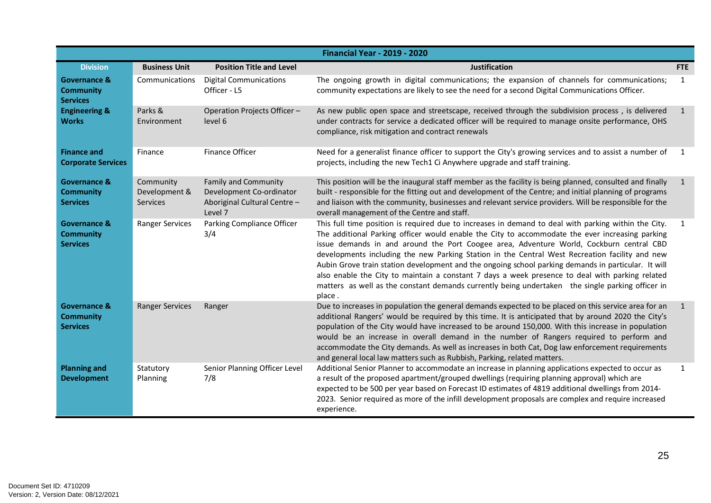|                                                                |                                               |                                                                                                    | <b>Financial Year - 2019 - 2020</b>                                                                                                                                                                                                                                                                                                                                                                                                                                                                                                                                                                                                                                                                                          |              |
|----------------------------------------------------------------|-----------------------------------------------|----------------------------------------------------------------------------------------------------|------------------------------------------------------------------------------------------------------------------------------------------------------------------------------------------------------------------------------------------------------------------------------------------------------------------------------------------------------------------------------------------------------------------------------------------------------------------------------------------------------------------------------------------------------------------------------------------------------------------------------------------------------------------------------------------------------------------------------|--------------|
| <b>Division</b>                                                | <b>Business Unit</b>                          | <b>Position Title and Level</b>                                                                    | Justification                                                                                                                                                                                                                                                                                                                                                                                                                                                                                                                                                                                                                                                                                                                | FTE          |
| <b>Governance &amp;</b><br><b>Community</b><br><b>Services</b> | Communications                                | <b>Digital Communications</b><br>Officer - L5                                                      | The ongoing growth in digital communications; the expansion of channels for communications;<br>community expectations are likely to see the need for a second Digital Communications Officer.                                                                                                                                                                                                                                                                                                                                                                                                                                                                                                                                | $\mathbf{1}$ |
| <b>Engineering &amp;</b><br><b>Works</b>                       | Parks &<br>Environment                        | Operation Projects Officer -<br>level 6                                                            | As new public open space and streetscape, received through the subdivision process, is delivered<br>under contracts for service a dedicated officer will be required to manage onsite performance, OHS<br>compliance, risk mitigation and contract renewals                                                                                                                                                                                                                                                                                                                                                                                                                                                                  | $\mathbf{1}$ |
| <b>Finance and</b><br><b>Corporate Services</b>                | Finance                                       | <b>Finance Officer</b>                                                                             | Need for a generalist finance officer to support the City's growing services and to assist a number of<br>projects, including the new Tech1 Ci Anywhere upgrade and staff training.                                                                                                                                                                                                                                                                                                                                                                                                                                                                                                                                          | 1            |
| <b>Governance &amp;</b><br><b>Community</b><br><b>Services</b> | Community<br>Development &<br><b>Services</b> | <b>Family and Community</b><br>Development Co-ordinator<br>Aboriginal Cultural Centre -<br>Level 7 | This position will be the inaugural staff member as the facility is being planned, consulted and finally<br>built - responsible for the fitting out and development of the Centre; and initial planning of programs<br>and liaison with the community, businesses and relevant service providers. Will be responsible for the<br>overall management of the Centre and staff.                                                                                                                                                                                                                                                                                                                                                 | $\mathbf{1}$ |
| <b>Governance &amp;</b><br><b>Community</b><br><b>Services</b> | Ranger Services                               | Parking Compliance Officer<br>3/4                                                                  | This full time position is required due to increases in demand to deal with parking within the City.<br>The additional Parking officer would enable the City to accommodate the ever increasing parking<br>issue demands in and around the Port Coogee area, Adventure World, Cockburn central CBD<br>developments including the new Parking Station in the Central West Recreation facility and new<br>Aubin Grove train station development and the ongoing school parking demands in particular. It will<br>also enable the City to maintain a constant 7 days a week presence to deal with parking related<br>matters as well as the constant demands currently being undertaken the single parking officer in<br>place. | 1            |
| <b>Governance &amp;</b><br><b>Community</b><br><b>Services</b> | <b>Ranger Services</b>                        | Ranger                                                                                             | Due to increases in population the general demands expected to be placed on this service area for an<br>additional Rangers' would be required by this time. It is anticipated that by around 2020 the City's<br>population of the City would have increased to be around 150,000. With this increase in population<br>would be an increase in overall demand in the number of Rangers required to perform and<br>accommodate the City demands. As well as increases in both Cat, Dog law enforcement requirements<br>and general local law matters such as Rubbish, Parking, related matters.                                                                                                                                | $\mathbf{1}$ |
| <b>Planning and</b><br><b>Development</b>                      | Statutory<br>Planning                         | Senior Planning Officer Level<br>7/8                                                               | Additional Senior Planner to accommodate an increase in planning applications expected to occur as<br>a result of the proposed apartment/grouped dwellings (requiring planning approval) which are<br>expected to be 500 per year based on Forecast ID estimates of 4819 additional dwellings from 2014-<br>2023. Senior required as more of the infill development proposals are complex and require increased<br>experience.                                                                                                                                                                                                                                                                                               | $\mathbf{1}$ |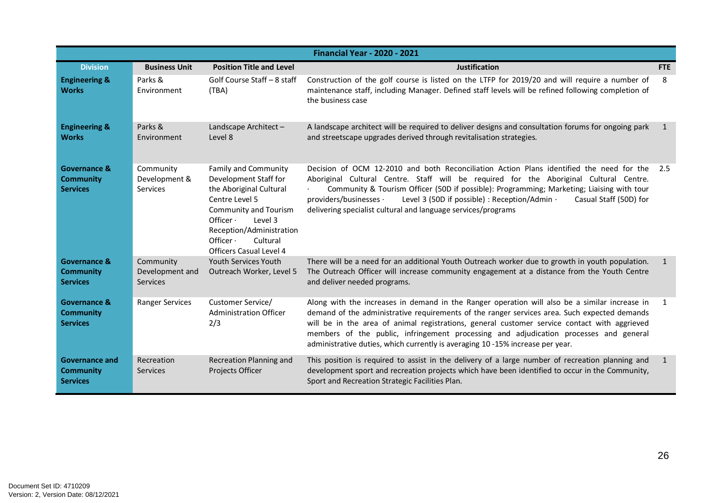| <b>Financial Year - 2020 - 2021</b>                            |                                                 |                                                                                                                                                                                                                                                       |                                                                                                                                                                                                                                                                                                                                                                                                                                                                         |              |
|----------------------------------------------------------------|-------------------------------------------------|-------------------------------------------------------------------------------------------------------------------------------------------------------------------------------------------------------------------------------------------------------|-------------------------------------------------------------------------------------------------------------------------------------------------------------------------------------------------------------------------------------------------------------------------------------------------------------------------------------------------------------------------------------------------------------------------------------------------------------------------|--------------|
| <b>Division</b>                                                | <b>Business Unit</b>                            | <b>Position Title and Level</b>                                                                                                                                                                                                                       | <b>Justification</b>                                                                                                                                                                                                                                                                                                                                                                                                                                                    | FTE          |
| <b>Engineering &amp;</b><br><b>Works</b>                       | Parks &<br>Environment                          | Golf Course Staff - 8 staff<br>(TBA)                                                                                                                                                                                                                  | Construction of the golf course is listed on the LTFP for 2019/20 and will require a number of<br>maintenance staff, including Manager. Defined staff levels will be refined following completion of<br>the business case                                                                                                                                                                                                                                               | 8            |
| <b>Engineering &amp;</b><br><b>Works</b>                       | Parks &<br>Environment                          | Landscape Architect-<br>Level 8                                                                                                                                                                                                                       | A landscape architect will be required to deliver designs and consultation forums for ongoing park<br>and streetscape upgrades derived through revitalisation strategies.                                                                                                                                                                                                                                                                                               | 1            |
| <b>Governance &amp;</b><br><b>Community</b><br><b>Services</b> | Community<br>Development &<br>Services          | <b>Family and Community</b><br>Development Staff for<br>the Aboriginal Cultural<br>Centre Level 5<br>Community and Tourism<br>Officer $\cdot$<br>Level 3<br>Reception/Administration<br>Officer $\cdot$<br>Cultural<br><b>Officers Casual Level 4</b> | Decision of OCM 12-2010 and both Reconciliation Action Plans identified the need for the<br>Aboriginal Cultural Centre. Staff will be required for the Aboriginal Cultural Centre.<br>Community & Tourism Officer (50D if possible): Programming; Marketing; Liaising with tour<br>Level 3 (50D if possible) : Reception/Admin ·<br>providers/businesses ·<br>Casual Staff (50D) for<br>delivering specialist cultural and language services/programs                   | 2.5          |
| <b>Governance &amp;</b><br><b>Community</b><br><b>Services</b> | Community<br>Development and<br><b>Services</b> | <b>Youth Services Youth</b><br>Outreach Worker, Level 5                                                                                                                                                                                               | There will be a need for an additional Youth Outreach worker due to growth in youth population.<br>The Outreach Officer will increase community engagement at a distance from the Youth Centre<br>and deliver needed programs.                                                                                                                                                                                                                                          | $\mathbf{1}$ |
| <b>Governance &amp;</b><br><b>Community</b><br><b>Services</b> | <b>Ranger Services</b>                          | Customer Service/<br><b>Administration Officer</b><br>2/3                                                                                                                                                                                             | Along with the increases in demand in the Ranger operation will also be a similar increase in<br>demand of the administrative requirements of the ranger services area. Such expected demands<br>will be in the area of animal registrations, general customer service contact with aggrieved<br>members of the public, infringement processing and adjudication processes and general<br>administrative duties, which currently is averaging 10-15% increase per year. | 1            |
| <b>Governance and</b><br><b>Community</b><br><b>Services</b>   | Recreation<br>Services                          | <b>Recreation Planning and</b><br>Projects Officer                                                                                                                                                                                                    | This position is required to assist in the delivery of a large number of recreation planning and<br>development sport and recreation projects which have been identified to occur in the Community,<br>Sport and Recreation Strategic Facilities Plan.                                                                                                                                                                                                                  | 1            |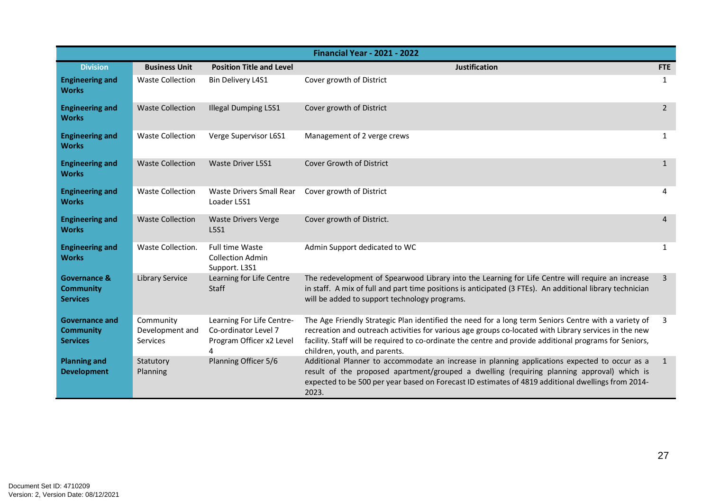| <b>Financial Year - 2021 - 2022</b>                            |                                          |                                                                                    |                                                                                                                                                                                                                                                                                                                                                           |                |
|----------------------------------------------------------------|------------------------------------------|------------------------------------------------------------------------------------|-----------------------------------------------------------------------------------------------------------------------------------------------------------------------------------------------------------------------------------------------------------------------------------------------------------------------------------------------------------|----------------|
| <b>Division</b>                                                | <b>Business Unit</b>                     | <b>Position Title and Level</b>                                                    | <b>Justification</b>                                                                                                                                                                                                                                                                                                                                      | <b>FTE</b>     |
| <b>Engineering and</b><br><b>Works</b>                         | <b>Waste Collection</b>                  | <b>Bin Delivery L4S1</b>                                                           | Cover growth of District                                                                                                                                                                                                                                                                                                                                  | $\mathbf{1}$   |
| <b>Engineering and</b><br><b>Works</b>                         | <b>Waste Collection</b>                  | <b>Illegal Dumping L5S1</b>                                                        | Cover growth of District                                                                                                                                                                                                                                                                                                                                  | $\overline{2}$ |
| <b>Engineering and</b><br><b>Works</b>                         | <b>Waste Collection</b>                  | Verge Supervisor L6S1                                                              | Management of 2 verge crews                                                                                                                                                                                                                                                                                                                               | 1              |
| <b>Engineering and</b><br><b>Works</b>                         | <b>Waste Collection</b>                  | <b>Waste Driver L5S1</b>                                                           | Cover Growth of District                                                                                                                                                                                                                                                                                                                                  | $\mathbf{1}$   |
| <b>Engineering and</b><br><b>Works</b>                         | <b>Waste Collection</b>                  | Waste Drivers Small Rear<br>Loader L5S1                                            | Cover growth of District                                                                                                                                                                                                                                                                                                                                  | 4              |
| <b>Engineering and</b><br><b>Works</b>                         | <b>Waste Collection</b>                  | <b>Waste Drivers Verge</b><br><b>L5S1</b>                                          | Cover growth of District.                                                                                                                                                                                                                                                                                                                                 | $\overline{4}$ |
| <b>Engineering and</b><br><b>Works</b>                         | Waste Collection.                        | <b>Full time Waste</b><br><b>Collection Admin</b><br>Support. L3S1                 | Admin Support dedicated to WC                                                                                                                                                                                                                                                                                                                             | 1              |
| <b>Governance &amp;</b><br><b>Community</b><br><b>Services</b> | <b>Library Service</b>                   | Learning for Life Centre<br>Staff                                                  | The redevelopment of Spearwood Library into the Learning for Life Centre will require an increase<br>in staff. A mix of full and part time positions is anticipated (3 FTEs). An additional library technician<br>will be added to support technology programs.                                                                                           | $\overline{3}$ |
| <b>Governance and</b><br><b>Community</b><br><b>Services</b>   | Community<br>Development and<br>Services | Learning For Life Centre-<br>Co-ordinator Level 7<br>Program Officer x2 Level<br>4 | The Age Friendly Strategic Plan identified the need for a long term Seniors Centre with a variety of<br>recreation and outreach activities for various age groups co-located with Library services in the new<br>facility. Staff will be required to co-ordinate the centre and provide additional programs for Seniors,<br>children, youth, and parents. | 3              |
| <b>Planning and</b><br><b>Development</b>                      | Statutory<br>Planning                    | Planning Officer 5/6                                                               | Additional Planner to accommodate an increase in planning applications expected to occur as a<br>result of the proposed apartment/grouped a dwelling (requiring planning approval) which is<br>expected to be 500 per year based on Forecast ID estimates of 4819 additional dwellings from 2014-<br>2023.                                                | 1              |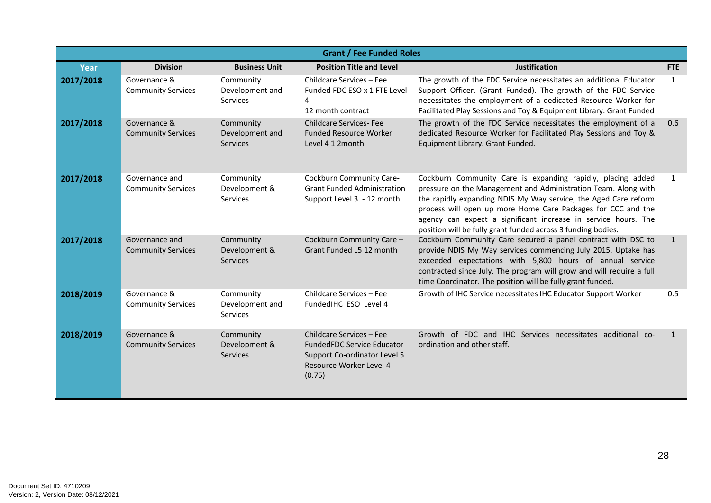| <b>Grant / Fee Funded Roles</b> |                                             |                                                 |                                                                                                                                    |                                                                                                                                                                                                                                                                                                                                                                                                    |              |
|---------------------------------|---------------------------------------------|-------------------------------------------------|------------------------------------------------------------------------------------------------------------------------------------|----------------------------------------------------------------------------------------------------------------------------------------------------------------------------------------------------------------------------------------------------------------------------------------------------------------------------------------------------------------------------------------------------|--------------|
| Year                            | <b>Division</b>                             | <b>Business Unit</b>                            | <b>Position Title and Level</b>                                                                                                    | <b>Justification</b>                                                                                                                                                                                                                                                                                                                                                                               | FTE          |
| 2017/2018                       | Governance &<br><b>Community Services</b>   | Community<br>Development and<br>Services        | Childcare Services - Fee<br>Funded FDC ESO x 1 FTE Level<br>4<br>12 month contract                                                 | The growth of the FDC Service necessitates an additional Educator<br>Support Officer. (Grant Funded). The growth of the FDC Service<br>necessitates the employment of a dedicated Resource Worker for<br>Facilitated Play Sessions and Toy & Equipment Library. Grant Funded                                                                                                                       | $\mathbf{1}$ |
| 2017/2018                       | Governance &<br><b>Community Services</b>   | Community<br>Development and<br><b>Services</b> | <b>Childcare Services- Fee</b><br><b>Funded Resource Worker</b><br>Level 4 1 2month                                                | The growth of the FDC Service necessitates the employment of a<br>dedicated Resource Worker for Facilitated Play Sessions and Toy &<br>Equipment Library. Grant Funded.                                                                                                                                                                                                                            | 0.6          |
| 2017/2018                       | Governance and<br><b>Community Services</b> | Community<br>Development &<br>Services          | Cockburn Community Care-<br><b>Grant Funded Administration</b><br>Support Level 3. - 12 month                                      | Cockburn Community Care is expanding rapidly, placing added<br>pressure on the Management and Administration Team. Along with<br>the rapidly expanding NDIS My Way service, the Aged Care reform<br>process will open up more Home Care Packages for CCC and the<br>agency can expect a significant increase in service hours. The<br>position will be fully grant funded across 3 funding bodies. | 1            |
| 2017/2018                       | Governance and<br><b>Community Services</b> | Community<br>Development &<br>Services          | Cockburn Community Care -<br>Grant Funded L5 12 month                                                                              | Cockburn Community Care secured a panel contract with DSC to<br>provide NDIS My Way services commencing July 2015. Uptake has<br>exceeded expectations with 5,800 hours of annual service<br>contracted since July. The program will grow and will require a full<br>time Coordinator. The position will be fully grant funded.                                                                    | $\mathbf{1}$ |
| 2018/2019                       | Governance &<br><b>Community Services</b>   | Community<br>Development and<br>Services        | Childcare Services - Fee<br>FundedIHC ESO Level 4                                                                                  | Growth of IHC Service necessitates IHC Educator Support Worker                                                                                                                                                                                                                                                                                                                                     | 0.5          |
| 2018/2019                       | Governance &<br><b>Community Services</b>   | Community<br>Development &<br>Services          | Childcare Services - Fee<br><b>FundedFDC Service Educator</b><br>Support Co-ordinator Level 5<br>Resource Worker Level 4<br>(0.75) | Growth of FDC and IHC Services necessitates additional co-<br>ordination and other staff.                                                                                                                                                                                                                                                                                                          | $\mathbf{1}$ |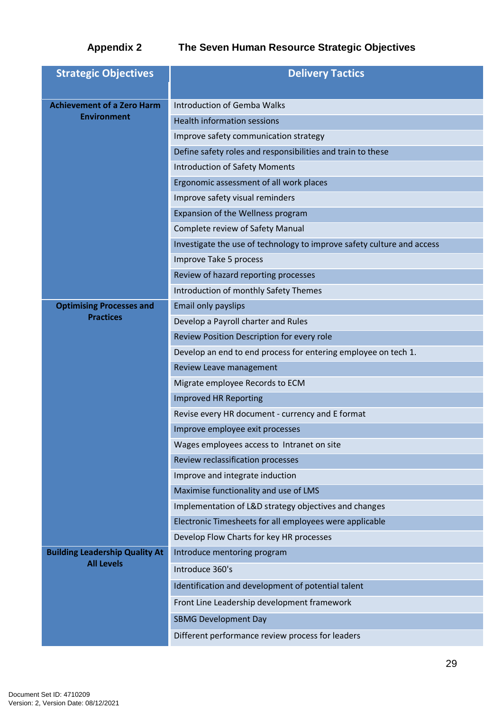## **Appendix 2 The Seven Human Resource Strategic Objectives**

| <b>Strategic Objectives</b>           | <b>Delivery Tactics</b>                                                |
|---------------------------------------|------------------------------------------------------------------------|
| <b>Achievement of a Zero Harm</b>     | <b>Introduction of Gemba Walks</b>                                     |
| <b>Environment</b>                    | <b>Health information sessions</b>                                     |
|                                       | Improve safety communication strategy                                  |
|                                       | Define safety roles and responsibilities and train to these            |
|                                       | <b>Introduction of Safety Moments</b>                                  |
|                                       | Ergonomic assessment of all work places                                |
|                                       | Improve safety visual reminders                                        |
|                                       | Expansion of the Wellness program                                      |
|                                       | Complete review of Safety Manual                                       |
|                                       | Investigate the use of technology to improve safety culture and access |
|                                       | Improve Take 5 process                                                 |
|                                       | Review of hazard reporting processes                                   |
|                                       | Introduction of monthly Safety Themes                                  |
| <b>Optimising Processes and</b>       | <b>Email only payslips</b>                                             |
| <b>Practices</b>                      | Develop a Payroll charter and Rules                                    |
|                                       | Review Position Description for every role                             |
|                                       | Develop an end to end process for entering employee on tech 1.         |
|                                       | Review Leave management                                                |
|                                       | Migrate employee Records to ECM                                        |
|                                       | <b>Improved HR Reporting</b>                                           |
|                                       | Revise every HR document - currency and E format                       |
|                                       | Improve employee exit processes                                        |
|                                       | Wages employees access to Intranet on site                             |
|                                       | Review reclassification processes                                      |
|                                       | Improve and integrate induction                                        |
|                                       | Maximise functionality and use of LMS                                  |
|                                       | Implementation of L&D strategy objectives and changes                  |
|                                       | Electronic Timesheets for all employees were applicable                |
|                                       | Develop Flow Charts for key HR processes                               |
| <b>Building Leadership Quality At</b> | Introduce mentoring program                                            |
| <b>All Levels</b>                     | Introduce 360's                                                        |
|                                       | Identification and development of potential talent                     |
|                                       | Front Line Leadership development framework                            |
|                                       | <b>SBMG Development Day</b>                                            |
|                                       | Different performance review process for leaders                       |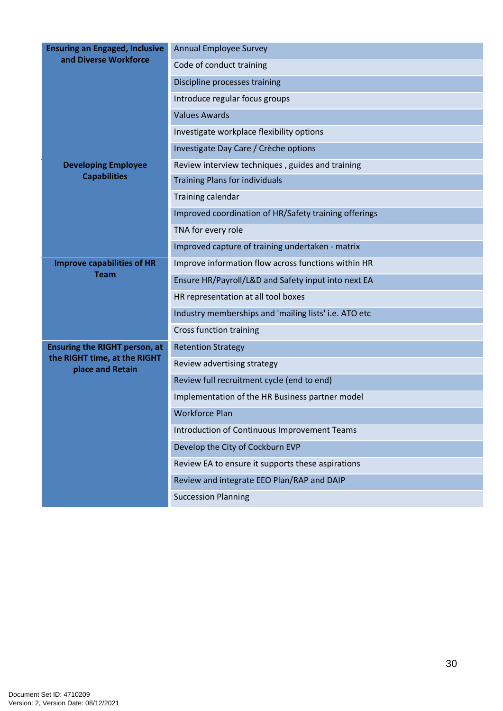| <b>Ensuring an Engaged, Inclusive</b>            | <b>Annual Employee Survey</b>                         |  |  |
|--------------------------------------------------|-------------------------------------------------------|--|--|
| and Diverse Workforce                            | Code of conduct training                              |  |  |
|                                                  | Discipline processes training                         |  |  |
|                                                  | Introduce regular focus groups                        |  |  |
|                                                  | <b>Values Awards</b>                                  |  |  |
|                                                  | Investigate workplace flexibility options             |  |  |
|                                                  | Investigate Day Care / Crèche options                 |  |  |
| <b>Developing Employee</b>                       | Review interview techniques, guides and training      |  |  |
| <b>Capabilities</b>                              | <b>Training Plans for individuals</b>                 |  |  |
|                                                  | Training calendar                                     |  |  |
|                                                  | Improved coordination of HR/Safety training offerings |  |  |
|                                                  | TNA for every role                                    |  |  |
|                                                  | Improved capture of training undertaken - matrix      |  |  |
| <b>Improve capabilities of HR</b>                | Improve information flow across functions within HR   |  |  |
| <b>Team</b>                                      | Ensure HR/Payroll/L&D and Safety input into next EA   |  |  |
|                                                  | HR representation at all tool boxes                   |  |  |
|                                                  | Industry memberships and 'mailing lists' i.e. ATO etc |  |  |
|                                                  | Cross function training                               |  |  |
| <b>Ensuring the RIGHT person, at</b>             | <b>Retention Strategy</b>                             |  |  |
| the RIGHT time, at the RIGHT<br>place and Retain | Review advertising strategy                           |  |  |
|                                                  | Review full recruitment cycle (end to end)            |  |  |
|                                                  | Implementation of the HR Business partner model       |  |  |
|                                                  | <b>Workforce Plan</b>                                 |  |  |
|                                                  | Introduction of Continuous Improvement Teams          |  |  |
|                                                  | Develop the City of Cockburn EVP                      |  |  |
|                                                  | Review EA to ensure it supports these aspirations     |  |  |
|                                                  | Review and integrate EEO Plan/RAP and DAIP            |  |  |
|                                                  | <b>Succession Planning</b>                            |  |  |